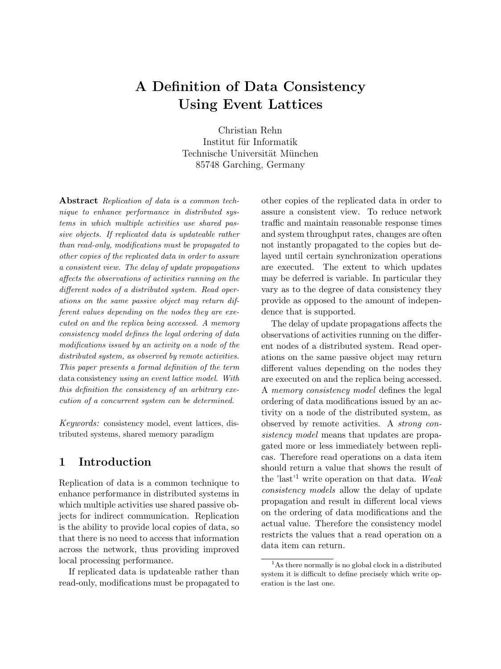# A Definition of Data Consistency Using Event Lattices

Christian Rehn Institut für Informatik Technische Universität München 85748 Garching, Germany

Abstract Replication of data is a common technique to enhance performance in distributed systems in which multiple activities use shared passive objects. If replicated data is updateable rather than read-only, modifications must be propagated to other copies of the replicated data in order to assure a consistent view. The delay of update propagations affects the observations of activities running on the different nodes of a distributed system. Read operations on the same passive object may return different values depending on the nodes they are executed on and the replica being accessed. A memory consistency model defines the legal ordering of data modifications issued by an activity on a node of the distributed system, as observed by remote activities. This paper presents a formal definition of the term data consistency using an event lattice model. With this definition the consistency of an arbitrary execution of a concurrent system can be determined.

Keywords: consistency model, event lattices, distributed systems, shared memory paradigm

# 1 Introduction

Replication of data is a common technique to enhance performance in distributed systems in which multiple activities use shared passive objects for indirect communication. Replication is the ability to provide local copies of data, so that there is no need to access that information across the network, thus providing improved local processing performance.

If replicated data is updateable rather than read-only, modifications must be propagated to other copies of the replicated data in order to assure a consistent view. To reduce network traffic and maintain reasonable response times and system throughput rates, changes are often not instantly propagated to the copies but delayed until certain synchronization operations are executed. The extent to which updates may be deferred is variable. In particular they vary as to the degree of data consistency they provide as opposed to the amount of independence that is supported.

The delay of update propagations affects the observations of activities running on the different nodes of a distributed system. Read operations on the same passive object may return different values depending on the nodes they are executed on and the replica being accessed. A memory consistency model defines the legal ordering of data modifications issued by an activity on a node of the distributed system, as observed by remote activities. A strong consistency model means that updates are propagated more or less immediately between replicas. Therefore read operations on a data item should return a value that shows the result of the 'last'<sup>1</sup> write operation on that data. Weak consistency models allow the delay of update propagation and result in different local views on the ordering of data modifications and the actual value. Therefore the consistency model restricts the values that a read operation on a data item can return.

 $<sup>1</sup>$ As there normally is no global clock in a distributed</sup> system it is difficult to define precisely which write operation is the last one.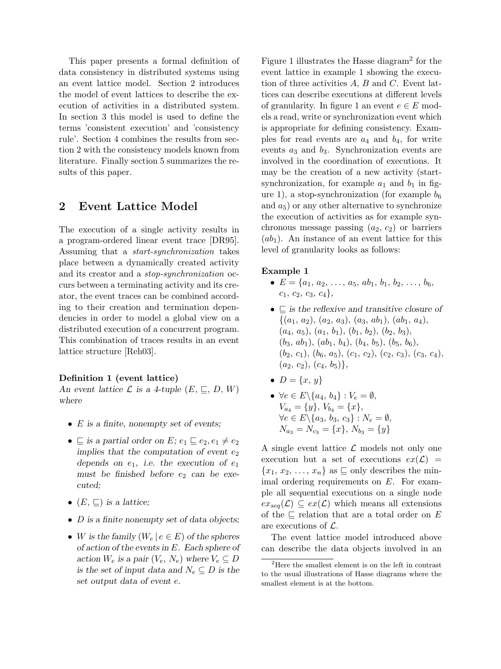This paper presents a formal definition of data consistency in distributed systems using an event lattice model. Section 2 introduces the model of event lattices to describe the execution of activities in a distributed system. In section 3 this model is used to define the terms 'consistent execution' and 'consistency rule'. Section 4 combines the results from section 2 with the consistency models known from literature. Finally section 5 summarizes the results of this paper.

# 2 Event Lattice Model

The execution of a single activity results in a program-ordered linear event trace [DR95]. Assuming that a start-synchronization takes place between a dynamically created activity and its creator and a stop-synchronization occurs between a terminating activity and its creator, the event traces can be combined according to their creation and termination dependencies in order to model a global view on a distributed execution of a concurrent program. This combination of traces results in an event lattice structure [Reh03].

### Definition 1 (event lattice)

An event lattice  $\mathcal L$  is a 4-tuple  $(E, \sqsubseteq, D, W)$ where

- $E$  is a finite, nonempty set of events;
- $\subseteq$  is a partial order on E;  $e_1 \sqsubseteq e_2, e_1 \neq e_2$ implies that the computation of event  $e_2$ depends on  $e_1$ , i.e. the execution of  $e_1$ must be finished before  $e_2$  can be executed;
- $(E, \sqsubseteq)$  is a lattice;
- D is a finite nonempty set of data objects;
- W is the family  $(W_e \mid e \in E)$  of the spheres of action of the events in E. Each sphere of action  $W_e$  is a pair  $(V_e, N_e)$  where  $V_e \subseteq D$ is the set of input data and  $N_e \subseteq D$  is the set output data of event e.

Figure 1 illustrates the Hasse diagram<sup>2</sup> for the event lattice in example 1 showing the execution of three activities  $A, B$  and  $C$ . Event lattices can describe executions at different levels of granularity. In figure 1 an event  $e \in E$  models a read, write or synchronization event which is appropriate for defining consistency. Examples for read events are  $a_4$  and  $b_4$ , for write events  $a_3$  and  $b_3$ . Synchronization events are involved in the coordination of executions. It may be the creation of a new activity (startsynchronization, for example  $a_1$  and  $b_1$  in figure 1), a stop-synchronization (for example  $b_6$ ) and  $a_5$ ) or any other alternative to synchronize the execution of activities as for example synchronous message passing  $(a_2, c_2)$  or barriers  $(ab_1)$ . An instance of an event lattice for this level of granularity looks as follows:

#### Example 1

- $E = \{a_1, a_2, \ldots, a_5, ab_1, b_1, b_2, \ldots, b_6,$  $c_1, c_2, c_3, c_4\},$
- $\subseteq$  is the reflexive and transitive closure of  $\{(a_1, a_2), (a_2, a_3), (a_3, ab_1), (ab_1, a_4),\}$  $(a_4, a_5), (a_1, b_1), (b_1, b_2), (b_2, b_3),$  $(b_3, ab_1), (ab_1, b_4), (b_4, b_5), (b_5, b_6),$  $(b_2, c_1), (b_6, a_5), (c_1, c_2), (c_2, c_3), (c_3, c_4),$  $(a_2, c_2), (c_4, b_5) \},\$
- $D = \{x, y\}$
- $\forall e \in E \setminus \{a_4, b_4\} : V_e = \emptyset,$  $V_{a_4} = \{y\}, V_{b_4} = \{x\},$  $\forall e \in E \setminus \{a_3, b_3, c_3\} : N_e = \emptyset,$  $N_{a_3} = N_{c_3} = \{x\}, N_{b_3} = \{y\}$

A single event lattice  $\mathcal L$  models not only one execution but a set of executions  $ex(\mathcal{L}) =$  ${x_1, x_2, \ldots, x_n}$  as  $\Box$  only describes the minimal ordering requirements on E. For example all sequential executions on a single node  $ex_{seq}(\mathcal{L}) \subseteq ex(\mathcal{L})$  which means all extensions of the  $\subseteq$  relation that are a total order on E are executions of  $\mathcal{L}$ .

The event lattice model introduced above can describe the data objects involved in an

<sup>2</sup>Here the smallest element is on the left in contrast to the usual illustrations of Hasse diagrams where the smallest element is at the bottom.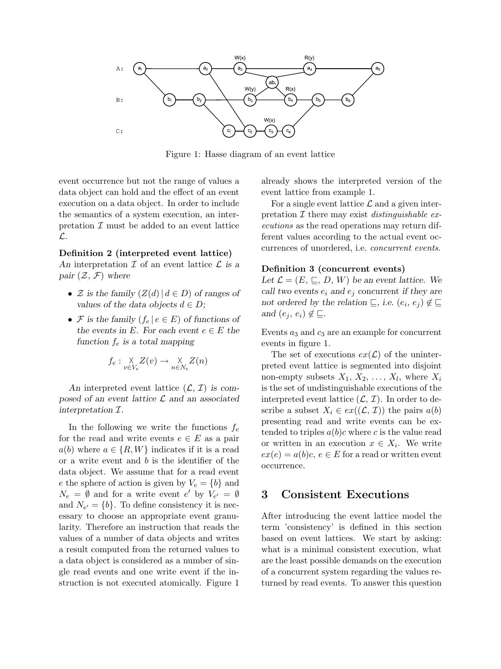

Figure 1: Hasse diagram of an event lattice

event occurrence but not the range of values a data object can hold and the effect of an event execution on a data object. In order to include the semantics of a system execution, an interpretation  $\mathcal I$  must be added to an event lattice L.

#### Definition 2 (interpreted event lattice)

An interpretation  $\mathcal I$  of an event lattice  $\mathcal L$  is a pair  $(\mathcal{Z}, \mathcal{F})$  where

- $\mathcal Z$  is the family  $(Z(d) | d \in D)$  of ranges of values of the data objects  $d \in D$ ;
- F is the family  $(f_e | e \in E)$  of functions of the events in E. For each event  $e \in E$  the function  $f_e$  is a total mapping

$$
f_e: \underset{v \in V_e}{\times} Z(v) \to \underset{n \in N_e}{\times} Z(n)
$$

An interpreted event lattice  $(\mathcal{L}, \mathcal{I})$  is composed of an event lattice  $\mathcal L$  and an associated interpretation I.

In the following we write the functions  $f_e$ for the read and write events  $e \in E$  as a pair  $a(b)$  where  $a \in \{R, W\}$  indicates if it is a read or a write event and b is the identifier of the data object. We assume that for a read event e the sphere of action is given by  $V_e = \{b\}$  and  $N_e = \emptyset$  and for a write event e' by  $V_{e'} = \emptyset$ and  $N_{e'} = \{b\}$ . To define consistency it is necessary to choose an appropriate event granularity. Therefore an instruction that reads the values of a number of data objects and writes a result computed from the returned values to a data object is considered as a number of single read events and one write event if the instruction is not executed atomically. Figure 1

already shows the interpreted version of the event lattice from example 1.

For a single event lattice  $\mathcal L$  and a given interpretation  $\mathcal I$  there may exist *distinguishable ex*ecutions as the read operations may return different values according to the actual event occurrences of unordered, i.e. concurrent events.

#### Definition 3 (concurrent events)

Let  $\mathcal{L} = (E, \sqsubseteq, D, W)$  be an event lattice. We call two events  $e_i$  and  $e_j$  concurrent if they are not ordered by the relation  $\subseteq$ , i.e.  $(e_i, e_j) \notin \subseteq$ and  $(e_i, e_i) \notin \sqsubseteq$ .

Events  $a_3$  and  $c_3$  are an example for concurrent events in figure 1.

The set of executions  $ex(\mathcal{L})$  of the uninterpreted event lattice is segmented into disjoint non-empty subsets  $X_1, X_2, \ldots, X_l$ , where  $X_i$ is the set of undistinguishable executions of the interpreted event lattice  $(\mathcal{L}, \mathcal{I})$ . In order to describe a subset  $X_i \in ex((\mathcal{L}, \mathcal{I}))$  the pairs  $a(b)$ presenting read and write events can be extended to triples  $a(b)c$  where c is the value read or written in an execution  $x \in X_i$ . We write  $ex(e) = a(b)c, e \in E$  for a read or written event occurrence.

## 3 Consistent Executions

After introducing the event lattice model the term 'consistency' is defined in this section based on event lattices. We start by asking: what is a minimal consistent execution, what are the least possible demands on the execution of a concurrent system regarding the values returned by read events. To answer this question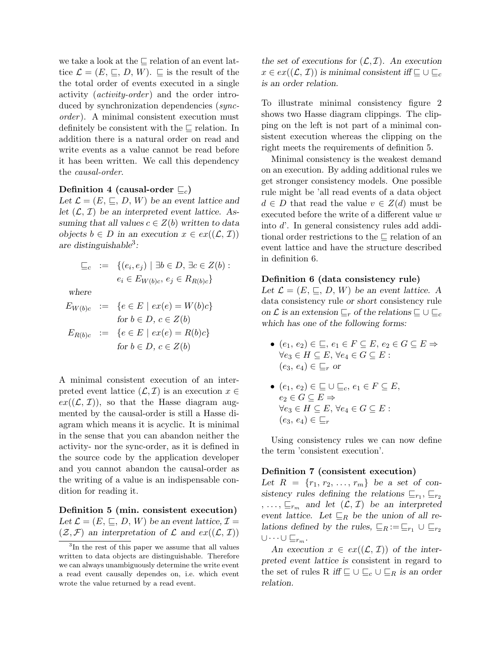we take a look at the  $\subseteq$  relation of an event lattice  $\mathcal{L} = (E, \sqsubseteq, D, W)$ .  $\sqsubseteq$  is the result of the the total order of events executed in a single activity (*activity-order*) and the order introduced by synchronization dependencies (syncorder). A minimal consistent execution must definitely be consistent with the  $\sqsubseteq$  relation. In addition there is a natural order on read and write events as a value cannot be read before it has been written. We call this dependency the causal-order.

## Definition 4 (causal-order  $\sqsubseteq_c$ )

Let  $\mathcal{L} = (E, \sqsubseteq, D, W)$  be an event lattice and let  $(\mathcal{L}, \mathcal{I})$  be an interpreted event lattice. Assuming that all values  $c \in Z(b)$  written to data objects  $b \in D$  in an execution  $x \in ex((\mathcal{L}, \mathcal{I}))$ are distinguishable<sup>3</sup>:

$$
\begin{array}{rcl} \sqsubseteq_c & := & \{ (e_i, e_j) \mid \exists b \in D, \, \exists c \in Z(b) : \\ & & e_i \in E_{W(b)c}, \, e_j \in R_{R(b)c} \} \end{array}
$$

where

$$
E_{W(b)c} := \{e \in E \mid ex(e) = W(b)c\}
$$
  
for  $b \in D, c \in Z(b)$   

$$
E_{R(b)c} := \{e \in E \mid ex(e) = R(b)c\}
$$
  
for  $b \in D, c \in Z(b)$ 

A minimal consistent execution of an interpreted event lattice  $(\mathcal{L}, \mathcal{I})$  is an execution  $x \in$  $ex((\mathcal{L}, \mathcal{I}))$ , so that the Hasse diagram augmented by the causal-order is still a Hasse diagram which means it is acyclic. It is minimal in the sense that you can abandon neither the activity- nor the sync-order, as it is defined in the source code by the application developer and you cannot abandon the causal-order as the writing of a value is an indispensable condition for reading it.

Definition 5 (min. consistent execution) Let  $\mathcal{L} = (E, \sqsubseteq, D, W)$  be an event lattice,  $\mathcal{I} =$  $(\mathcal{Z}, \mathcal{F})$  an interpretation of  $\mathcal L$  and  $ex((\mathcal{L}, \mathcal{I}))$ 

the set of executions for  $(\mathcal{L}, \mathcal{I})$ . An execution  $x \in ex((\mathcal{L}, \mathcal{I}))$  is minimal consistent iff  $\subseteq \cup \subseteq_c$ is an order relation.

To illustrate minimal consistency figure 2 shows two Hasse diagram clippings. The clipping on the left is not part of a minimal consistent execution whereas the clipping on the right meets the requirements of definition 5.

Minimal consistency is the weakest demand on an execution. By adding additional rules we get stronger consistency models. One possible rule might be 'all read events of a data object  $d \in D$  that read the value  $v \in Z(d)$  must be executed before the write of a different value w into d'. In general consistency rules add additional order restrictions to the  $\sqsubseteq$  relation of an event lattice and have the structure described in definition 6.

#### Definition 6 (data consistency rule)

Let  $\mathcal{L} = (E, \sqsubseteq, D, W)$  be an event lattice. A data consistency rule or short consistency rule on  $\mathcal L$  is an extension  $\sqsubseteq_r$  of the relations  $\sqsubseteq \cup \sqsubseteq_c$ which has one of the following forms:

- $(e_1, e_2) \in \sqsubseteq, e_1 \in F \subseteq E, e_2 \in G \subseteq E \Rightarrow$  $\forall e_3 \in H \subseteq E, \forall e_4 \in G \subseteq E$ :  $(e_3, e_4) \in \sqsubseteq_r \text{or}$
- $(e_1, e_2) \in \sqsubseteq \cup \sqsubseteq_c, e_1 \in F \subseteq E$ ,  $e_2 \in G \subseteq E \Rightarrow$  $\forall e_3 \in H \subseteq E, \, \forall e_4 \in G \subseteq E:$  $(e_3, e_4) \in \sqsubseteq_r$

Using consistency rules we can now define the term 'consistent execution'.

#### Definition 7 (consistent execution)

Let  $R = \{r_1, r_2, ..., r_m\}$  be a set of consistency rules defining the relations  $\sqsubseteq_{r_1}, \sqsubseteq_{r_2}$  $, \ldots, \sqsubseteq_{r_m}$  and let  $(\mathcal{L}, \mathcal{I})$  be an interpreted event lattice. Let  $\sqsubseteq_R$  be the union of all relations defined by the rules,  $\sqsubseteq_R := \sqsubseteq_{r_1} \cup \sqsubseteq_{r_2}$  $\cup \cdots \cup \sqsubseteq_{r_m}$ .

An execution  $x \in ex((\mathcal{L}, \mathcal{I}))$  of the interpreted event lattice is consistent in regard to the set of rules R iff  $\sqsubseteq \cup \sqsubseteq_c \cup \sqsubseteq_R$  is an order relation.

<sup>3</sup> In the rest of this paper we assume that all values written to data objects are distinguishable. Therefore we can always unambiguously determine the write event a read event causally dependes on, i.e. which event wrote the value returned by a read event.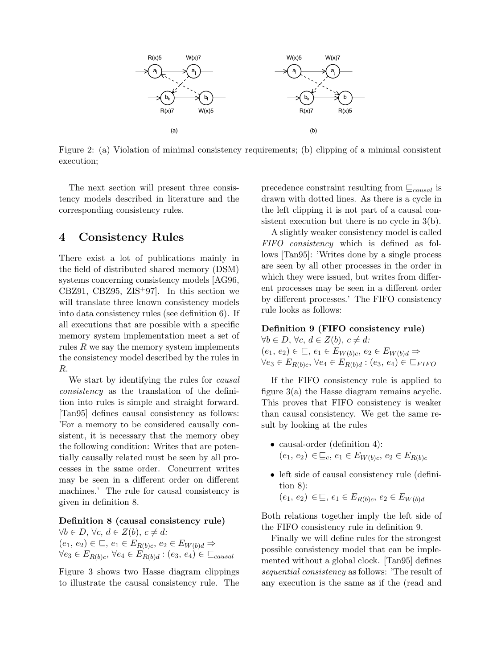

Figure 2: (a) Violation of minimal consistency requirements; (b) clipping of a minimal consistent execution;

The next section will present three consistency models described in literature and the corresponding consistency rules.

# 4 Consistency Rules

There exist a lot of publications mainly in the field of distributed shared memory (DSM) systems concerning consistency models [AG96, CBZ91, CBZ95, ZIS<sup>+</sup>97. In this section we will translate three known consistency models into data consistency rules (see definition 6). If all executions that are possible with a specific memory system implementation meet a set of rules  $R$  we say the memory system implements the consistency model described by the rules in R.

We start by identifying the rules for *causal* consistency as the translation of the definition into rules is simple and straight forward. [Tan95] defines causal consistency as follows: 'For a memory to be considered causally consistent, it is necessary that the memory obey the following condition: Writes that are potentially causally related must be seen by all processes in the same order. Concurrent writes may be seen in a different order on different machines.' The rule for causal consistency is given in definition 8.

## Definition 8 (causal consistency rule)

 $\forall b \in D, \forall c, d \in Z(b), c \neq d$ :  $(e_1, e_2) \in \sqsubseteq, e_1 \in E_{R(b)c}, e_2 \in E_{W(b)d} \Rightarrow$  $\forall e_3 \in E_{R(b)c}, \forall e_4 \in E_{R(b)d} : (e_3, e_4) \in \sqsubseteq_{causal}$ 

Figure 3 shows two Hasse diagram clippings to illustrate the causal consistency rule. The precedence constraint resulting from  $\mathcal{L}_{causal}$  is drawn with dotted lines. As there is a cycle in the left clipping it is not part of a causal consistent execution but there is no cycle in 3(b).

A slightly weaker consistency model is called FIFO consistency which is defined as follows [Tan95]: 'Writes done by a single process are seen by all other processes in the order in which they were issued, but writes from different processes may be seen in a different order by different processes.' The FIFO consistency rule looks as follows:

# Definition 9 (FIFO consistency rule)

 $\forall b \in D, \forall c, d \in Z(b), c \neq d$ :  $(e_1, e_2) \in \sqsubseteq, e_1 \in E_{W(b)c}, e_2 \in E_{W(b)d} \Rightarrow$  $\forall e_3 \in E_{R(b)c}, \, \forall e_4 \in E_{R(b)d} : (e_3, e_4) \in \sqsubseteq_{FIFO}$ 

If the FIFO consistency rule is applied to figure 3(a) the Hasse diagram remains acyclic. This proves that FIFO consistency is weaker than causal consistency. We get the same result by looking at the rules

- causal-order (definition 4):  $(e_1, e_2) \in \sqsubseteq_c, e_1 \in E_{W(b)c}, e_2 \in E_{R(b)c}$
- left side of causal consistency rule (definition 8):

 $(e_1, e_2) \in \sqsubseteq, e_1 \in E_{R(b)c}, e_2 \in E_{W(b)d}$ 

Both relations together imply the left side of the FIFO consistency rule in definition 9.

Finally we will define rules for the strongest possible consistency model that can be implemented without a global clock. [Tan95] defines sequential consistency as follows: 'The result of any execution is the same as if the (read and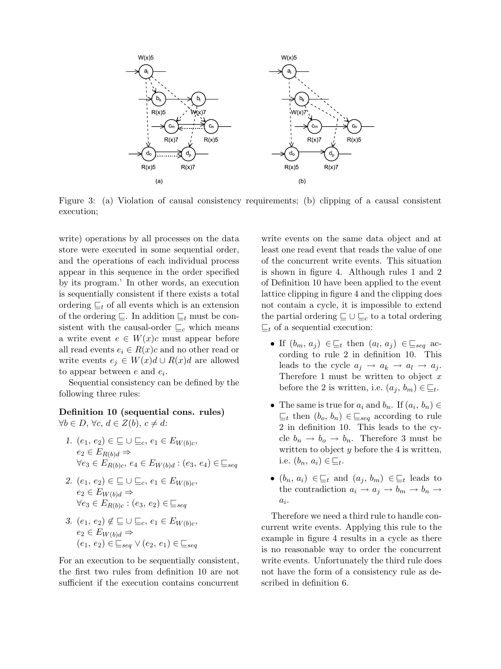

Figure 3: (a) Violation of causal consistency requirements; (b) clipping of a causal consistent execution;

write) operations by all processes on the data store were executed in some sequential order, and the operations of each individual process appear in this sequence in the order specified by its program.' In other words, an execution is sequentially consistent if there exists a total ordering  $\mathcal{L}_t$  of all events which is an extension of the ordering  $\subseteq$ . In addition  $\subseteq$ <sub>t</sub> must be consistent with the causal-order  $\sqsubseteq_c$  which means a write event  $e \in W(x)c$  must appear before all read events  $e_i \in R(x)c$  and no other read or write events  $e_j \in W(x)d \cup R(x)d$  are allowed to appear between  $e$  and  $e_i$ .

Sequential consistency can be defined by the following three rules:

Definition 10 (sequential cons. rules)  $\forall b \in D, \forall c, d \in Z(b), c \neq d$ :

- 1.  $(e_1, e_2) \in \Box \cup \sqsubseteq_c, e_1 \in E_{W(b)c}$  $e_2 \in E_{R(b)d} \Rightarrow$  $\forall e_3 \in E_{R(b)c}, e_4 \in E_{W(b)d} : (e_3, e_4) \in \sqsubseteq_{seq}$
- 2.  $(e_1, e_2) \in \Box \cup \sqsubseteq_c, e_1 \in E_{W(b)c}$  $e_2 \in E_{W(b)d} \Rightarrow$  $\forall e_3 \in E_{R(b)c} : (e_3, e_2) \in \sqsubseteq_{seq}$
- 3.  $(e_1, e_2) \notin \sqsubseteq \cup \sqsubseteq_c, e_1 \in E_{W(b)c}$  $e_2 \in E_{W(b)d} \Rightarrow$  $(e_1, e_2) \in \sqsubseteq_{\mathit{seq}} \vee(e_2, e_1) \in \sqsubseteq_{\mathit{seq}}$

For an execution to be sequentially consistent, the first two rules from definition 10 are not sufficient if the execution contains concurrent

write events on the same data object and at least one read event that reads the value of one of the concurrent write events. This situation is shown in figure 4. Although rules 1 and 2 of Definition 10 have been applied to the event lattice clipping in figure 4 and the clipping does not contain a cycle, it is impossible to extend the partial ordering  $\sqsubseteq \cup \sqsubseteq_c$  to a total ordering  $\sqsubseteq_t$  of a sequential execution:

- If  $(b_m, a_j) \in \sqsubseteq_t$  then  $(a_l, a_j) \in \sqsubseteq_{\text{seq}}$  according to rule 2 in definition 10. This leads to the cycle  $a_j \rightarrow a_k \rightarrow a_l \rightarrow a_j$ . Therefore 1 must be written to object  $x$ before the 2 is written, i.e.  $(a_j, b_m) \in \underline{\sqsubseteq}_t$ .
- The same is true for  $a_i$  and  $b_n$ . If  $(a_i, b_n) \in$  $\sqsubseteq_t$  then  $(b_o, b_n) \in \sqsubseteq_{\text{seq}}$  according to rule 2 in definition 10. This leads to the cycle  $b_n \to b_o \to b_n$ . Therefore 3 must be written to object  $y$  before the  $4$  is written, i.e.  $(b_n, a_i) \in \underline{\sqsubseteq}_t$ .
- $(b_n, a_i) \in \sqsubseteq_t$  and  $(a_j, b_m) \in \sqsubseteq_t$  leads to the contradiction  $a_i \to a_j \to b_m \to b_n \to$  $a_i$ .

Therefore we need a third rule to handle concurrent write events. Applying this rule to the example in figure 4 results in a cycle as there is no reasonable way to order the concurrent write events. Unfortunately the third rule does not have the form of a consistency rule as described in definition 6.